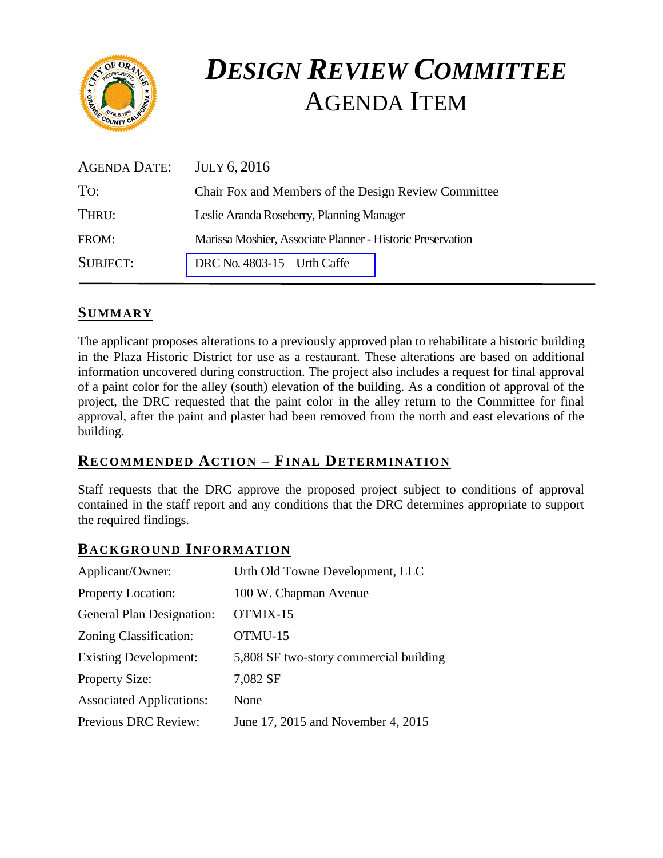

# *DESIGN REVIEW COMMITTEE*  AGENDA ITEM

| AGENDA DATE:    | <b>JULY 6, 2016</b>                                        |
|-----------------|------------------------------------------------------------|
| TO:             | Chair Fox and Members of the Design Review Committee       |
| THRU:           | Leslie Aranda Roseberry, Planning Manager                  |
| FROM:           | Marissa Moshier, Associate Planner - Historic Preservation |
| <b>SUBJECT:</b> | DRC No. $4803-15$ - Urth Caffe                             |

## **SUMMARY**

The applicant proposes alterations to a previously approved plan to rehabilitate a historic building in the Plaza Historic District for use as a restaurant. These alterations are based on additional information uncovered during construction. The project also includes a request for final approval of a paint color for the alley (south) elevation of the building. As a condition of approval of the project, the DRC requested that the paint color in the alley return to the Committee for final approval, after the paint and plaster had been removed from the north and east elevations of the building.

## **RECOMMENDED ACTION – FINAL DETERMINATION**

Staff requests that the DRC approve the proposed project subject to conditions of approval contained in the staff report and any conditions that the DRC determines appropriate to support the required findings.

# **BACKGROUND INFORMATION**

| Applicant/Owner:                | Urth Old Towne Development, LLC        |
|---------------------------------|----------------------------------------|
| <b>Property Location:</b>       | 100 W. Chapman Avenue                  |
| General Plan Designation:       | OTMIX-15                               |
| Zoning Classification:          | OTMU-15                                |
| <b>Existing Development:</b>    | 5,808 SF two-story commercial building |
| <b>Property Size:</b>           | 7,082 SF                               |
| <b>Associated Applications:</b> | None                                   |
| <b>Previous DRC Review:</b>     | June 17, 2015 and November 4, 2015     |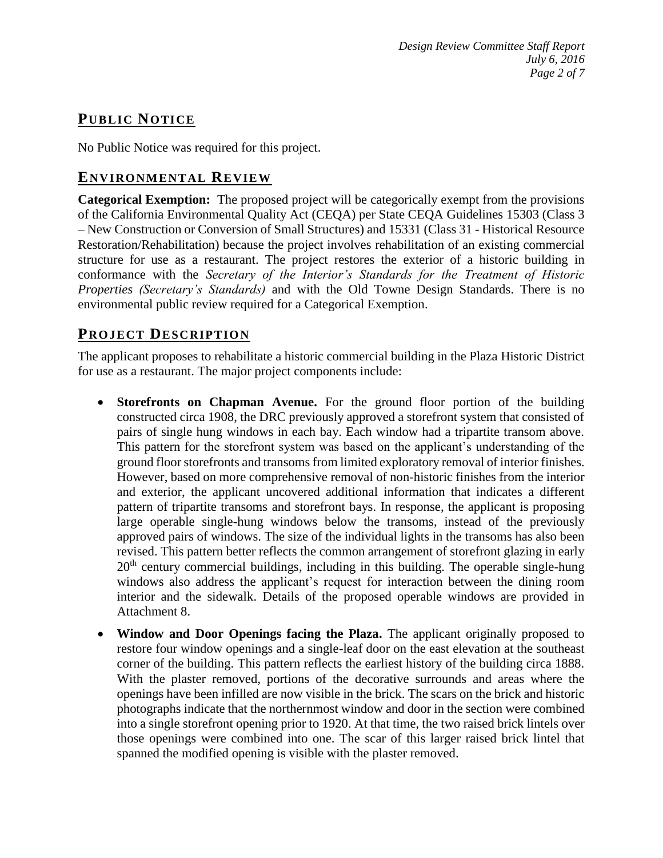# **PUB LIC NOTICE**

No Public Notice was required for this project.

## **ENVIRONMENTAL REVIEW**

**Categorical Exemption:** The proposed project will be categorically exempt from the provisions of the California Environmental Quality Act (CEQA) per State CEQA Guidelines 15303 (Class 3 – New Construction or Conversion of Small Structures) and 15331 (Class 31 - Historical Resource Restoration/Rehabilitation) because the project involves rehabilitation of an existing commercial structure for use as a restaurant. The project restores the exterior of a historic building in conformance with the *Secretary of the Interior's Standards for the Treatment of Historic Properties (Secretary's Standards)* and with the Old Towne Design Standards. There is no environmental public review required for a Categorical Exemption.

# **PROJECT DESCRIP TION**

The applicant proposes to rehabilitate a historic commercial building in the Plaza Historic District for use as a restaurant. The major project components include:

- **Storefronts on Chapman Avenue.** For the ground floor portion of the building constructed circa 1908, the DRC previously approved a storefront system that consisted of pairs of single hung windows in each bay. Each window had a tripartite transom above. This pattern for the storefront system was based on the applicant's understanding of the ground floor storefronts and transoms from limited exploratory removal of interior finishes. However, based on more comprehensive removal of non-historic finishes from the interior and exterior, the applicant uncovered additional information that indicates a different pattern of tripartite transoms and storefront bays. In response, the applicant is proposing large operable single-hung windows below the transoms, instead of the previously approved pairs of windows. The size of the individual lights in the transoms has also been revised. This pattern better reflects the common arrangement of storefront glazing in early  $20<sup>th</sup>$  century commercial buildings, including in this building. The operable single-hung windows also address the applicant's request for interaction between the dining room interior and the sidewalk. Details of the proposed operable windows are provided in Attachment 8.
- **Window and Door Openings facing the Plaza.** The applicant originally proposed to restore four window openings and a single-leaf door on the east elevation at the southeast corner of the building. This pattern reflects the earliest history of the building circa 1888. With the plaster removed, portions of the decorative surrounds and areas where the openings have been infilled are now visible in the brick. The scars on the brick and historic photographs indicate that the northernmost window and door in the section were combined into a single storefront opening prior to 1920. At that time, the two raised brick lintels over those openings were combined into one. The scar of this larger raised brick lintel that spanned the modified opening is visible with the plaster removed.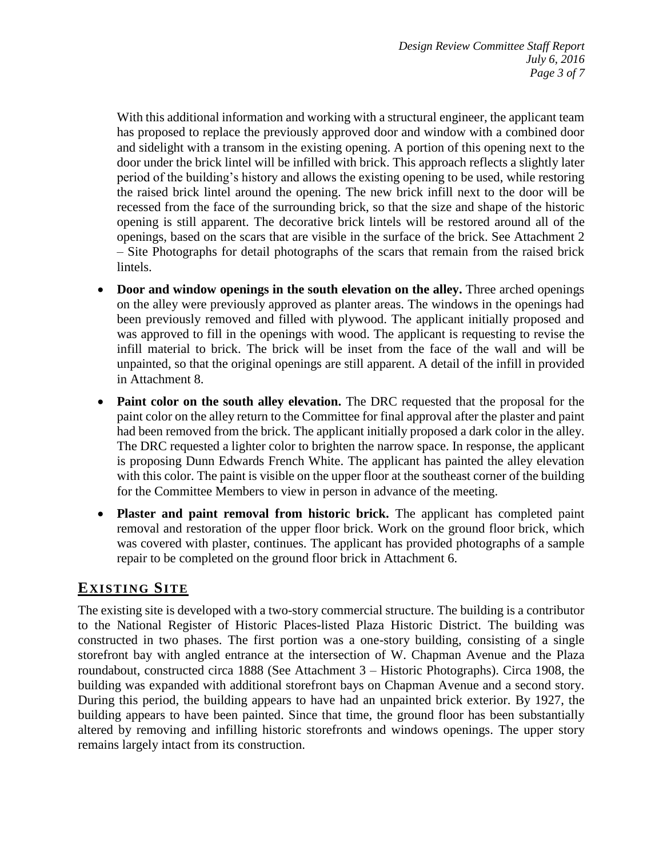With this additional information and working with a structural engineer, the applicant team has proposed to replace the previously approved door and window with a combined door and sidelight with a transom in the existing opening. A portion of this opening next to the door under the brick lintel will be infilled with brick. This approach reflects a slightly later period of the building's history and allows the existing opening to be used, while restoring the raised brick lintel around the opening. The new brick infill next to the door will be recessed from the face of the surrounding brick, so that the size and shape of the historic opening is still apparent. The decorative brick lintels will be restored around all of the openings, based on the scars that are visible in the surface of the brick. See Attachment 2 – Site Photographs for detail photographs of the scars that remain from the raised brick lintels.

- **Door and window openings in the south elevation on the alley.** Three arched openings on the alley were previously approved as planter areas. The windows in the openings had been previously removed and filled with plywood. The applicant initially proposed and was approved to fill in the openings with wood. The applicant is requesting to revise the infill material to brick. The brick will be inset from the face of the wall and will be unpainted, so that the original openings are still apparent. A detail of the infill in provided in Attachment 8.
- **Paint color on the south alley elevation.** The DRC requested that the proposal for the paint color on the alley return to the Committee for final approval after the plaster and paint had been removed from the brick. The applicant initially proposed a dark color in the alley. The DRC requested a lighter color to brighten the narrow space. In response, the applicant is proposing Dunn Edwards French White. The applicant has painted the alley elevation with this color. The paint is visible on the upper floor at the southeast corner of the building for the Committee Members to view in person in advance of the meeting.
- **Plaster and paint removal from historic brick.** The applicant has completed paint removal and restoration of the upper floor brick. Work on the ground floor brick, which was covered with plaster, continues. The applicant has provided photographs of a sample repair to be completed on the ground floor brick in Attachment 6.

# **EXISTING SITE**

The existing site is developed with a two-story commercial structure. The building is a contributor to the National Register of Historic Places-listed Plaza Historic District. The building was constructed in two phases. The first portion was a one-story building, consisting of a single storefront bay with angled entrance at the intersection of W. Chapman Avenue and the Plaza roundabout, constructed circa 1888 (See Attachment 3 – Historic Photographs). Circa 1908, the building was expanded with additional storefront bays on Chapman Avenue and a second story. During this period, the building appears to have had an unpainted brick exterior. By 1927, the building appears to have been painted. Since that time, the ground floor has been substantially altered by removing and infilling historic storefronts and windows openings. The upper story remains largely intact from its construction.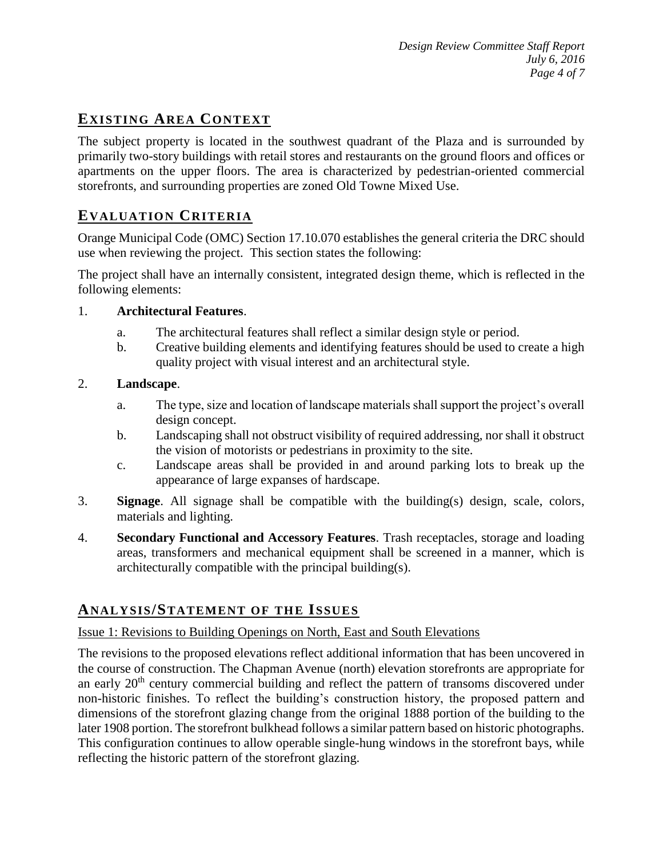# **EXISTING AREA CONTEXT**

The subject property is located in the southwest quadrant of the Plaza and is surrounded by primarily two-story buildings with retail stores and restaurants on the ground floors and offices or apartments on the upper floors. The area is characterized by pedestrian-oriented commercial storefronts, and surrounding properties are zoned Old Towne Mixed Use.

# **EVALUATION CRITERIA**

Orange Municipal Code (OMC) Section 17.10.070 establishes the general criteria the DRC should use when reviewing the project. This section states the following:

The project shall have an internally consistent, integrated design theme, which is reflected in the following elements:

#### 1. **Architectural Features**.

- a. The architectural features shall reflect a similar design style or period.
- b. Creative building elements and identifying features should be used to create a high quality project with visual interest and an architectural style.

#### 2. **Landscape**.

- a. The type, size and location of landscape materials shall support the project's overall design concept.
- b. Landscaping shall not obstruct visibility of required addressing, nor shall it obstruct the vision of motorists or pedestrians in proximity to the site.
- c. Landscape areas shall be provided in and around parking lots to break up the appearance of large expanses of hardscape.
- 3. **Signage**. All signage shall be compatible with the building(s) design, scale, colors, materials and lighting.
- 4. **Secondary Functional and Accessory Features**. Trash receptacles, storage and loading areas, transformers and mechanical equipment shall be screened in a manner, which is architecturally compatible with the principal building(s).

# **ANALY SIS/STATEMENT OF THE ISSUES**

#### Issue 1: Revisions to Building Openings on North, East and South Elevations

The revisions to the proposed elevations reflect additional information that has been uncovered in the course of construction. The Chapman Avenue (north) elevation storefronts are appropriate for an early 20<sup>th</sup> century commercial building and reflect the pattern of transoms discovered under non-historic finishes. To reflect the building's construction history, the proposed pattern and dimensions of the storefront glazing change from the original 1888 portion of the building to the later 1908 portion. The storefront bulkhead follows a similar pattern based on historic photographs. This configuration continues to allow operable single-hung windows in the storefront bays, while reflecting the historic pattern of the storefront glazing.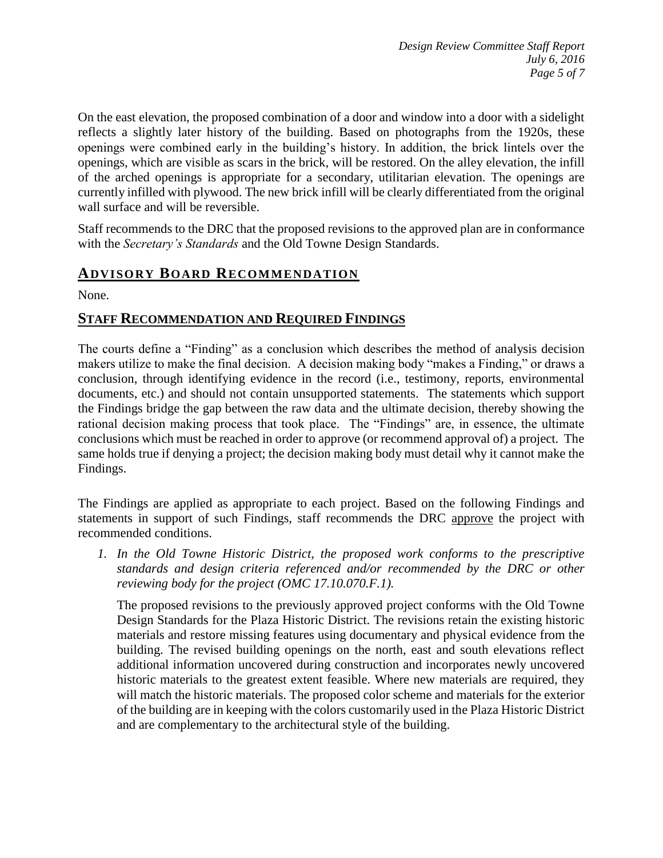On the east elevation, the proposed combination of a door and window into a door with a sidelight reflects a slightly later history of the building. Based on photographs from the 1920s, these openings were combined early in the building's history. In addition, the brick lintels over the openings, which are visible as scars in the brick, will be restored. On the alley elevation, the infill of the arched openings is appropriate for a secondary, utilitarian elevation. The openings are currently infilled with plywood. The new brick infill will be clearly differentiated from the original wall surface and will be reversible.

Staff recommends to the DRC that the proposed revisions to the approved plan are in conformance with the *Secretary's Standards* and the Old Towne Design Standards.

# **ADVISORY BOARD RECOMMENDATION**

None.

#### **STAFF RECOMMENDATION AND REQUIRED FINDINGS**

The courts define a "Finding" as a conclusion which describes the method of analysis decision makers utilize to make the final decision. A decision making body "makes a Finding," or draws a conclusion, through identifying evidence in the record (i.e., testimony, reports, environmental documents, etc.) and should not contain unsupported statements. The statements which support the Findings bridge the gap between the raw data and the ultimate decision, thereby showing the rational decision making process that took place. The "Findings" are, in essence, the ultimate conclusions which must be reached in order to approve (or recommend approval of) a project. The same holds true if denying a project; the decision making body must detail why it cannot make the Findings.

The Findings are applied as appropriate to each project. Based on the following Findings and statements in support of such Findings, staff recommends the DRC approve the project with recommended conditions.

*1. In the Old Towne Historic District, the proposed work conforms to the prescriptive standards and design criteria referenced and/or recommended by the DRC or other reviewing body for the project (OMC 17.10.070.F.1).*

The proposed revisions to the previously approved project conforms with the Old Towne Design Standards for the Plaza Historic District. The revisions retain the existing historic materials and restore missing features using documentary and physical evidence from the building. The revised building openings on the north, east and south elevations reflect additional information uncovered during construction and incorporates newly uncovered historic materials to the greatest extent feasible. Where new materials are required, they will match the historic materials. The proposed color scheme and materials for the exterior of the building are in keeping with the colors customarily used in the Plaza Historic District and are complementary to the architectural style of the building.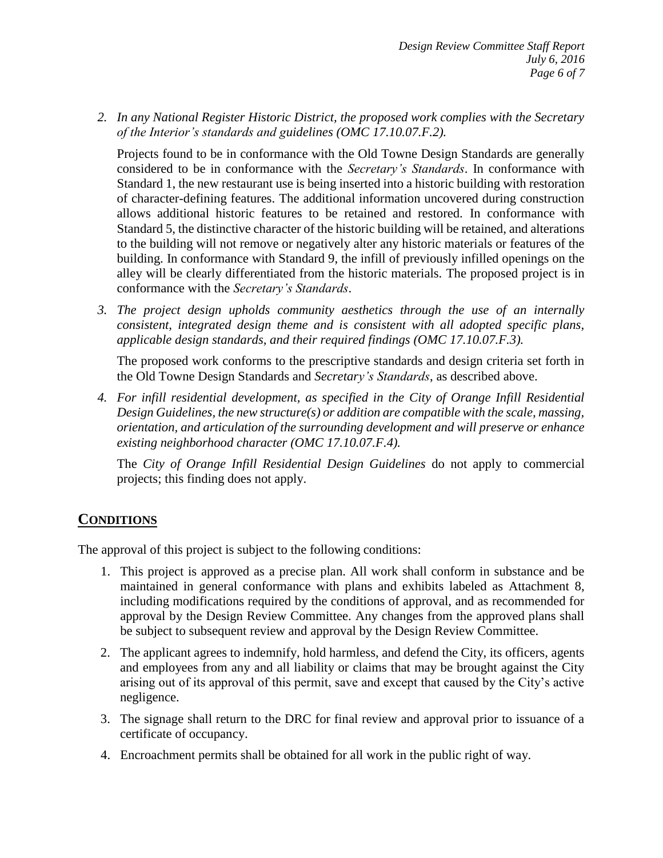*2. In any National Register Historic District, the proposed work complies with the Secretary of the Interior's standards and guidelines (OMC 17.10.07.F.2).*

Projects found to be in conformance with the Old Towne Design Standards are generally considered to be in conformance with the *Secretary's Standards*. In conformance with Standard 1, the new restaurant use is being inserted into a historic building with restoration of character-defining features. The additional information uncovered during construction allows additional historic features to be retained and restored. In conformance with Standard 5, the distinctive character of the historic building will be retained, and alterations to the building will not remove or negatively alter any historic materials or features of the building. In conformance with Standard 9, the infill of previously infilled openings on the alley will be clearly differentiated from the historic materials. The proposed project is in conformance with the *Secretary's Standards*.

*3. The project design upholds community aesthetics through the use of an internally consistent, integrated design theme and is consistent with all adopted specific plans, applicable design standards, and their required findings (OMC 17.10.07.F.3).*

The proposed work conforms to the prescriptive standards and design criteria set forth in the Old Towne Design Standards and *Secretary's Standards*, as described above.

*4. For infill residential development, as specified in the City of Orange Infill Residential Design Guidelines, the new structure(s) or addition are compatible with the scale, massing, orientation, and articulation of the surrounding development and will preserve or enhance existing neighborhood character (OMC 17.10.07.F.4).*

The *City of Orange Infill Residential Design Guidelines* do not apply to commercial projects; this finding does not apply.

## **CONDITIONS**

The approval of this project is subject to the following conditions:

- 1. This project is approved as a precise plan. All work shall conform in substance and be maintained in general conformance with plans and exhibits labeled as Attachment 8, including modifications required by the conditions of approval, and as recommended for approval by the Design Review Committee. Any changes from the approved plans shall be subject to subsequent review and approval by the Design Review Committee.
- 2. The applicant agrees to indemnify, hold harmless, and defend the City, its officers, agents and employees from any and all liability or claims that may be brought against the City arising out of its approval of this permit, save and except that caused by the City's active negligence.
- 3. The signage shall return to the DRC for final review and approval prior to issuance of a certificate of occupancy.
- 4. Encroachment permits shall be obtained for all work in the public right of way.